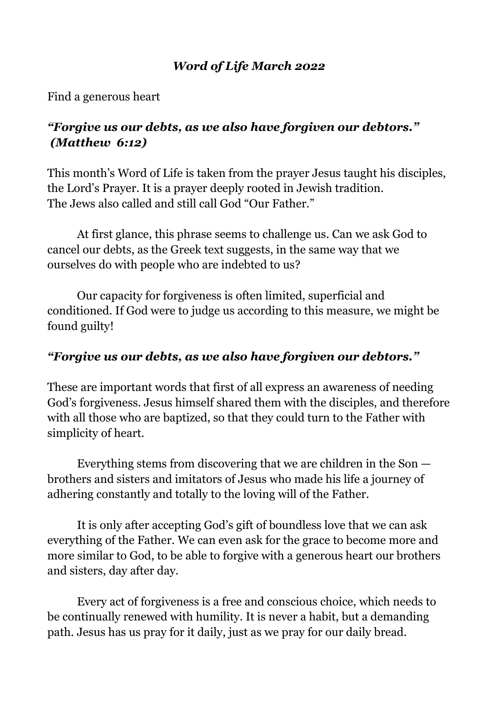## *Word of Life March 2022*

Find a generous heart

# *"Forgive us our debts, as we also have forgiven our debtors." (Matthew 6:12)*

This month's Word of Life is taken from the prayer Jesus taught his disciples, the Lord's Prayer. It is a prayer deeply rooted in Jewish tradition. The Jews also called and still call God "Our Father."

At first glance, this phrase seems to challenge us. Can we ask God to cancel our debts, as the Greek text suggests, in the same way that we ourselves do with people who are indebted to us?

Our capacity for forgiveness is often limited, superficial and conditioned. If God were to judge us according to this measure, we might be found guilty!

#### *"Forgive us our debts, as we also have forgiven our debtors."*

These are important words that first of all express an awareness of needing God's forgiveness. Jesus himself shared them with the disciples, and therefore with all those who are baptized, so that they could turn to the Father with simplicity of heart.

Everything stems from discovering that we are children in the Son brothers and sisters and imitators of Jesus who made his life a journey of adhering constantly and totally to the loving will of the Father.

It is only after accepting God's gift of boundless love that we can ask everything of the Father. We can even ask for the grace to become more and more similar to God, to be able to forgive with a generous heart our brothers and sisters, day after day.

Every act of forgiveness is a free and conscious choice, which needs to be continually renewed with humility. It is never a habit, but a demanding path. Jesus has us pray for it daily, just as we pray for our daily bread.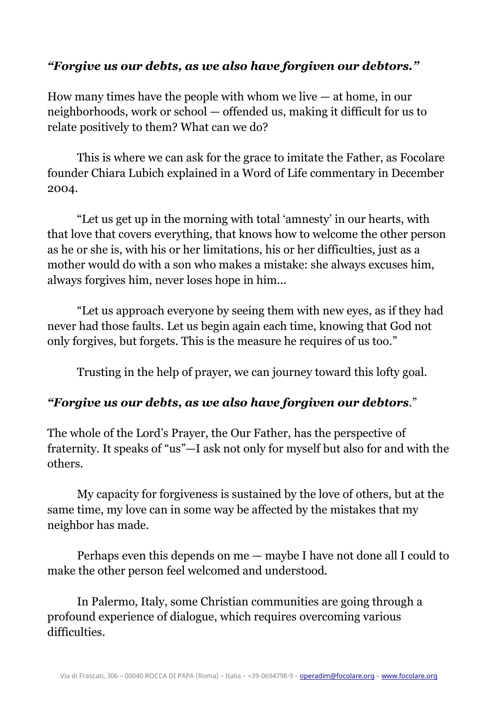### *"Forgive us our debts, as we also have forgiven our debtors."*

How many times have the people with whom we live  $-$  at home, in our neighborhoods, work or school — offended us, making it difficult for us to relate positively to them? What can we do?

This is where we can ask for the grace to imitate the Father, as Focolare founder Chiara Lubich explained in a Word of Life commentary in December 2004.

"Let us get up in the morning with total 'amnesty' in our hearts, with that love that covers everything, that knows how to welcome the other person as he or she is, with his or her limitations, his or her difficulties, just as a mother would do with a son who makes a mistake: she always excuses him, always forgives him, never loses hope in him...

"Let us approach everyone by seeing them with new eyes, as if they had never had those faults. Let us begin again each time, knowing that God not only forgives, but forgets. This is the measure he requires of us too."

Trusting in the help of prayer, we can journey toward this lofty goal.

#### *"Forgive us our debts, as we also have forgiven our debtors*."

The whole of the Lord's Prayer, the Our Father, has the perspective of fraternity. It speaks of "us"—I ask not only for myself but also for and with the others.

My capacity for forgiveness is sustained by the love of others, but at the same time, my love can in some way be affected by the mistakes that my neighbor has made.

Perhaps even this depends on me — maybe I have not done all I could to make the other person feel welcomed and understood.

In Palermo, Italy, some Christian communities are going through a profound experience of dialogue, which requires overcoming various difficulties.